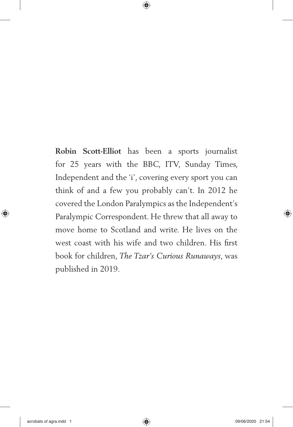**Robin Scott-Elliot** has been a sports journalist for 25 years with the BBC, ITV, Sunday Times, Independent and the 'i', covering every sport you can think of and a few you probably can't. In 2012 he covered the London Paralympics as the Independent's Paralympic Correspondent. He threw that all away to move home to Scotland and write. He lives on the west coast with his wife and two children. His first book for children, *The Tzar's Curious Runaways*, was published in 2019.

⊕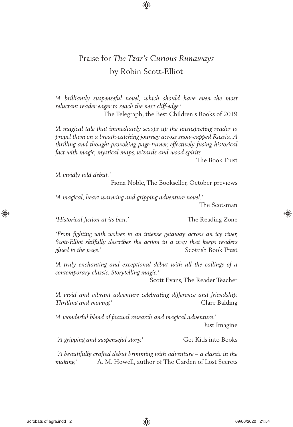## Praise for *The Tzar's Curious Runaways* by Robin Scott-Elliot

⊕

*'A brilliantly suspenseful novel, which should have even the most reluctant reader eager to reach the next cliff-edge.'*

The Telegraph, the Best Children's Books of 2019

*'A magical tale that immediately scoops up the unsuspecting reader to propel them on a breath-catching journey across snow-capped Russia. A thrilling and thought-provoking page-turner, effectively fusing historical fact with magic, mystical maps, wizards and wood spirits.*

The Book Trust

*'A vividly told debut.'*

⊕

Fiona Noble, The Bookseller, October previews

*'A magical, heart warming and gripping adventure novel.'*

The Scotsman

◈

*'Historical fiction at its best.'* The Reading Zone

*'From fighting with wolves to an intense getaway across an icy river, Scott-Elliot skilfully describes the action in a way that keeps readers glued to the page.'* Scottish Book Trust

*'A truly enchanting and exceptional début with all the callings of a contemporary classic. Storytelling magic.'*

Scott Evans, The Reader Teacher

*'A vivid and vibrant adventure celebrating difference and friendship. Thrilling and moving.'* Clare Balding

*'A wonderful blend of factual research and magical adventure.'* Just Imagine

 *'A gripping and suspenseful story.'* Get Kids into Books

 *'A beautifully crafted debut brimming with adventure – a classic in the making.'* A. M. Howell, author of The Garden of Lost Secrets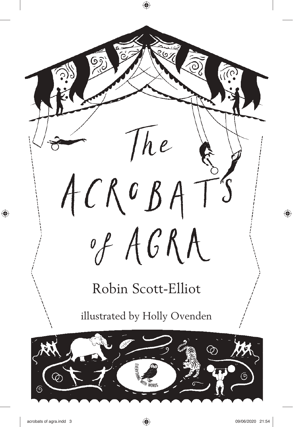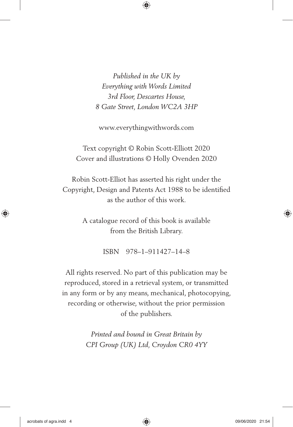*Published in the UK by Everything with Words Limited 3rd Floor, Descartes House, 8 Gate Street, London WC2A 3HP*

⊕

www.everythingwithwords.com

Text copyright © Robin Scott-Elliott 2020 Cover and illustrations © Holly Ovenden 2020

Robin Scott-Elliot has asserted his right under the Copyright, Design and Patents Act 1988 to be identified as the author of this work.

> A catalogue record of this book is available from the British Library.

> > ISBN 978–1–911427–14–8

All rights reserved. No part of this publication may be reproduced, stored in a retrieval system, or transmitted in any form or by any means, mechanical, photocopying, recording or otherwise, without the prior permission of the publishers.

> *Printed and bound in Great Britain by CPI Group (UK) Ltd, Croydon CR0 4YY*

◈

⊕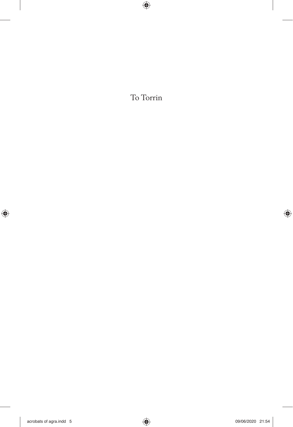

To Torrin



I

acrobats of agra.indd 5 09/06/2020 21:54

 $\overline{\phantom{a}}$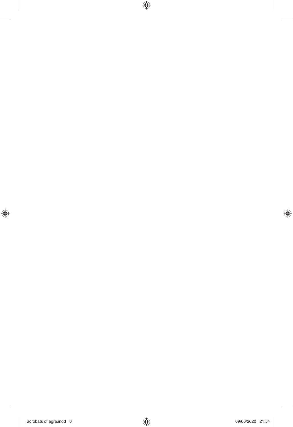

 $\overline{\phantom{a}}$ 

 $\bigoplus$ 

 $\bigoplus$ 

 $\overline{\phantom{a}}$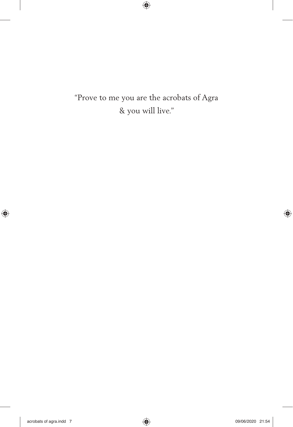$\bigoplus$ 

"Prove to me you are the acrobats of Agra & you will live."

 $\bigoplus$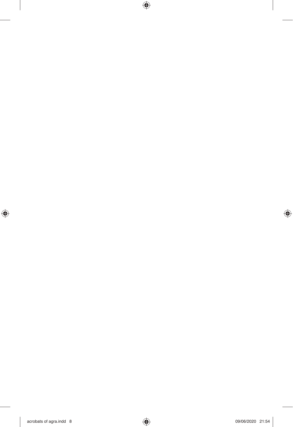

 $\overline{\phantom{a}}$ 

 $\bigoplus$ 

 $\bigoplus$ 

 $\overline{\phantom{a}}$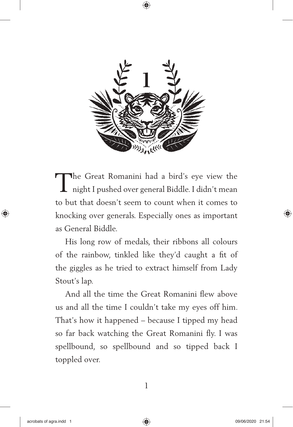

⊕

The Great Romanini had a bird's eye view the night I pushed over general Biddle. I didn't mean to but that doesn't seem to count when it comes to knocking over generals. Especially ones as important as General Biddle.

His long row of medals, their ribbons all colours of the rainbow, tinkled like they'd caught a fit of the giggles as he tried to extract himself from Lady Stout's lap.

And all the time the Great Romanini flew above us and all the time I couldn't take my eyes off him. That's how it happened – because I tipped my head so far back watching the Great Romanini fly. I was spellbound, so spellbound and so tipped back I toppled over.

⊕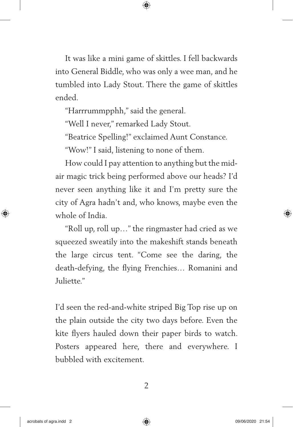It was like a mini game of skittles. I fell backwards into General Biddle, who was only a wee man, and he tumbled into Lady Stout. There the game of skittles ended.

⊕

"Harrrummpphh," said the general.

"Well I never," remarked Lady Stout.

"Beatrice Spelling!" exclaimed Aunt Constance.

"Wow!" I said, listening to none of them.

How could I pay attention to anything but the midair magic trick being performed above our heads? I'd never seen anything like it and I'm pretty sure the city of Agra hadn't and, who knows, maybe even the whole of India.

"Roll up, roll up…" the ringmaster had cried as we squeezed sweatily into the makeshift stands beneath the large circus tent. "Come see the daring, the death-defying, the flying Frenchies… Romanini and Juliette."

I'd seen the red-and-white striped Big Top rise up on the plain outside the city two days before. Even the kite flyers hauled down their paper birds to watch. Posters appeared here, there and everywhere. I bubbled with excitement.

◈

⊕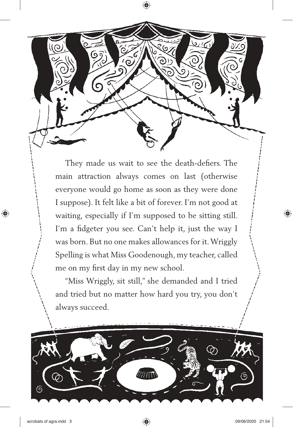They made us wait to see the death-defiers. The main attraction always comes on last (otherwise everyone would go home as soon as they were done I suppose). It felt like a bit of forever. I'm not good at waiting, especially if I'm supposed to be sitting still. I'm a fidgeter you see. Can't help it, just the way I was born. But no one makes allowances for it. Wriggly Spelling is what Miss Goodenough, my teacher, called me on my first day in my new school.

⊕

 $\overline{\mathbf{o}}$ 

52

 $\widetilde{\mathcal{S}_{\mathcal{O}}}$ 

"Miss Wriggly, sit still," she demanded and I tried and tried but no matter how hard you try, you don't always succeed.



◈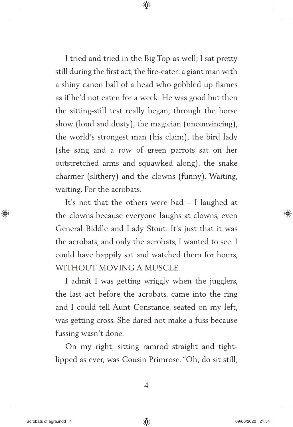I tried and tried in the Big Top as well; I sat pretty still during the first act, the fire-eater: a giant man with a shiny canon ball of a head who gobbled up flames as if he'd not eaten for a week. He was good but then the sitting-still test really began; through the horse show (loud and dusty), the magician (unconvincing), the world's strongest man (his claim), the bird lady (she sang and a row of green parrots sat on her outstretched arms and squawked along), the snake charmer (slithery) and the clowns (funny). Waiting, waiting. For the acrobats.

⊕

It's not that the others were bad – I laughed at the clowns because everyone laughs at clowns, even General Biddle and Lady Stout. It's just that it was the acrobats, and only the acrobats, I wanted to see. I could have happily sat and watched them for hours, WITHOUT MOVING A MUSCLE.

I admit I was getting wriggly when the jugglers, the last act before the acrobats, came into the ring and I could tell Aunt Constance, seated on my left, was getting cross. She dared not make a fuss because fussing wasn't done.

On my right, sitting ramrod straight and tightlipped as ever, was Cousin Primrose. "Oh, do sit still,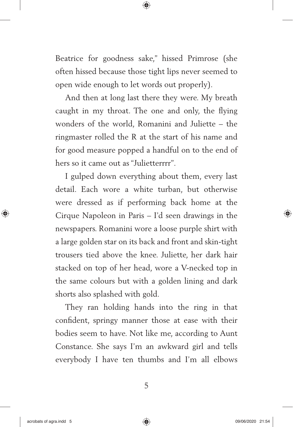Beatrice for goodness sake," hissed Primrose (she often hissed because those tight lips never seemed to open wide enough to let words out properly).

⊕

And then at long last there they were. My breath caught in my throat. The one and only, the flying wonders of the world, Romanini and Juliette – the ringmaster rolled the R at the start of his name and for good measure popped a handful on to the end of hers so it came out as "Julietterrrr".

I gulped down everything about them, every last detail. Each wore a white turban, but otherwise were dressed as if performing back home at the Cirque Napoleon in Paris – I'd seen drawings in the newspapers. Romanini wore a loose purple shirt with a large golden star on its back and front and skin-tight trousers tied above the knee. Juliette, her dark hair stacked on top of her head, wore a V-necked top in the same colours but with a golden lining and dark shorts also splashed with gold.

They ran holding hands into the ring in that confident, springy manner those at ease with their bodies seem to have. Not like me, according to Aunt Constance. She says I'm an awkward girl and tells everybody I have ten thumbs and I'm all elbows

5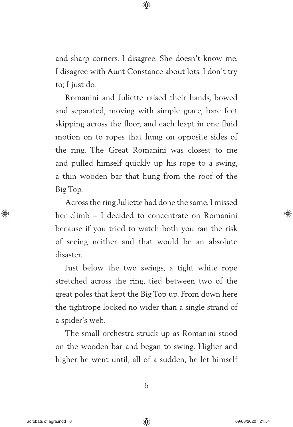and sharp corners. I disagree. She doesn't know me. I disagree with Aunt Constance about lots. I don't try to; I just do.

⊕

Romanini and Juliette raised their hands, bowed and separated, moving with simple grace, bare feet skipping across the floor, and each leapt in one fluid motion on to ropes that hung on opposite sides of the ring. The Great Romanini was closest to me and pulled himself quickly up his rope to a swing, a thin wooden bar that hung from the roof of the Big Top.

Across the ring Juliette had done the same. I missed her climb – I decided to concentrate on Romanini because if you tried to watch both you ran the risk of seeing neither and that would be an absolute disaster.

Just below the two swings, a tight white rope stretched across the ring, tied between two of the great poles that kept the Big Top up. From down here the tightrope looked no wider than a single strand of a spider's web.

The small orchestra struck up as Romanini stood on the wooden bar and began to swing. Higher and higher he went until, all of a sudden, he let himself

6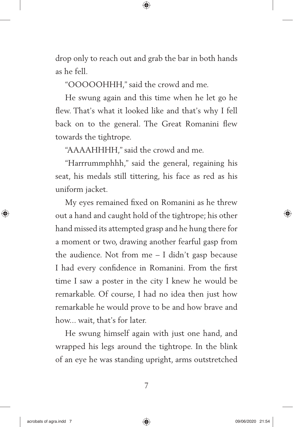drop only to reach out and grab the bar in both hands as he fell.

⊕

"OOOOOHHH," said the crowd and me.

He swung again and this time when he let go he flew. That's what it looked like and that's why I fell back on to the general. The Great Romanini flew towards the tightrope.

"AAAAHHHH," said the crowd and me.

"Harrrummphhh," said the general, regaining his seat, his medals still tittering, his face as red as his uniform jacket.

My eyes remained fixed on Romanini as he threw out a hand and caught hold of the tightrope; his other hand missed its attempted grasp and he hung there for a moment or two, drawing another fearful gasp from the audience. Not from me – I didn't gasp because I had every confidence in Romanini. From the first time I saw a poster in the city I knew he would be remarkable. Of course, I had no idea then just how remarkable he would prove to be and how brave and how... wait, that's for later.

He swung himself again with just one hand, and wrapped his legs around the tightrope. In the blink of an eye he was standing upright, arms outstretched

7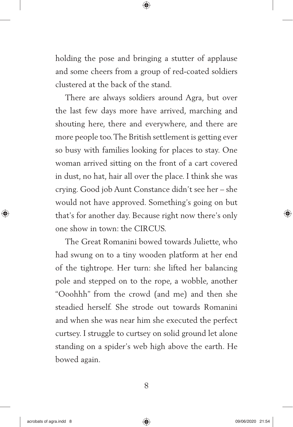holding the pose and bringing a stutter of applause and some cheers from a group of red-coated soldiers clustered at the back of the stand.

⊕

There are always soldiers around Agra, but over the last few days more have arrived, marching and shouting here, there and everywhere, and there are more people too. The British settlement is getting ever so busy with families looking for places to stay. One woman arrived sitting on the front of a cart covered in dust, no hat, hair all over the place. I think she was crying. Good job Aunt Constance didn't see her – she would not have approved. Something's going on but that's for another day. Because right now there's only one show in town: the CIRCUS.

The Great Romanini bowed towards Juliette, who had swung on to a tiny wooden platform at her end of the tightrope. Her turn: she lifted her balancing pole and stepped on to the rope, a wobble, another "Ooohhh" from the crowd (and me) and then she steadied herself. She strode out towards Romanini and when she was near him she executed the perfect curtsey. I struggle to curtsey on solid ground let alone standing on a spider's web high above the earth. He bowed again.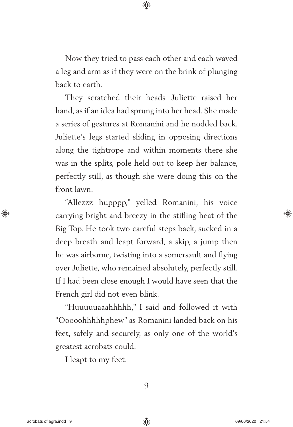Now they tried to pass each other and each waved a leg and arm as if they were on the brink of plunging back to earth.

⊕

They scratched their heads. Juliette raised her hand, as if an idea had sprung into her head. She made a series of gestures at Romanini and he nodded back. Juliette's legs started sliding in opposing directions along the tightrope and within moments there she was in the splits, pole held out to keep her balance, perfectly still, as though she were doing this on the front lawn.

"Allezzz hupppp," yelled Romanini, his voice carrying bright and breezy in the stifling heat of the Big Top. He took two careful steps back, sucked in a deep breath and leapt forward, a skip, a jump then he was airborne, twisting into a somersault and flying over Juliette, who remained absolutely, perfectly still. If I had been close enough I would have seen that the French girl did not even blink.

"Huuuuuaaahhhhh," I said and followed it with "Ooooohhhhhphew" as Romanini landed back on his feet, safely and securely, as only one of the world's greatest acrobats could.

I leapt to my feet.

9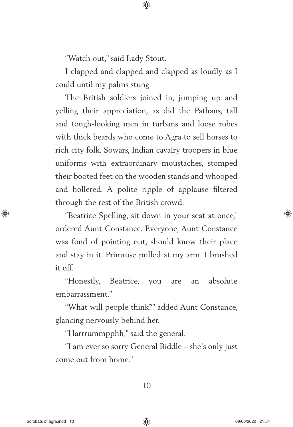"Watch out," said Lady Stout.

I clapped and clapped and clapped as loudly as I could until my palms stung.

⊕

The British soldiers joined in, jumping up and yelling their appreciation, as did the Pathans, tall and tough-looking men in turbans and loose robes with thick beards who come to Agra to sell horses to rich city folk. Sowars, Indian cavalry troopers in blue uniforms with extraordinary moustaches, stomped their booted feet on the wooden stands and whooped and hollered. A polite ripple of applause filtered through the rest of the British crowd.

"Beatrice Spelling, sit down in your seat at once," ordered Aunt Constance. Everyone, Aunt Constance was fond of pointing out, should know their place and stay in it. Primrose pulled at my arm. I brushed it off.

"Honestly, Beatrice, you are an absolute embarrassment."

"What will people think?" added Aunt Constance, glancing nervously behind her.

"Harrrummpphh," said the general.

"I am ever so sorry General Biddle – she's only just come out from home."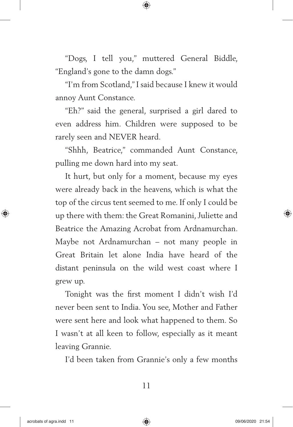"Dogs, I tell you," muttered General Biddle, "England's gone to the damn dogs."

⊕

"I'm from Scotland," I said because I knew it would annoy Aunt Constance.

"Eh?" said the general, surprised a girl dared to even address him. Children were supposed to be rarely seen and NEVER heard.

"Shhh, Beatrice," commanded Aunt Constance, pulling me down hard into my seat.

It hurt, but only for a moment, because my eyes were already back in the heavens, which is what the top of the circus tent seemed to me. If only I could be up there with them: the Great Romanini, Juliette and Beatrice the Amazing Acrobat from Ardnamurchan. Maybe not Ardnamurchan – not many people in Great Britain let alone India have heard of the distant peninsula on the wild west coast where I grew up.

Tonight was the first moment I didn't wish I'd never been sent to India. You see, Mother and Father were sent here and look what happened to them. So I wasn't at all keen to follow, especially as it meant leaving Grannie.

I'd been taken from Grannie's only a few months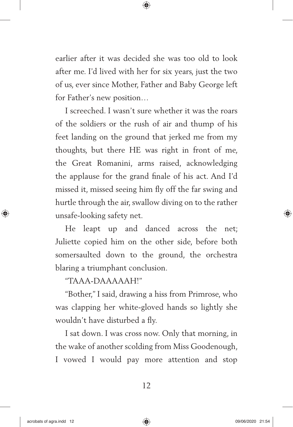earlier after it was decided she was too old to look after me. I'd lived with her for six years, just the two of us, ever since Mother, Father and Baby George left for Father's new position…

⊕

I screeched. I wasn't sure whether it was the roars of the soldiers or the rush of air and thump of his feet landing on the ground that jerked me from my thoughts, but there HE was right in front of me, the Great Romanini, arms raised, acknowledging the applause for the grand finale of his act. And I'd missed it, missed seeing him fly off the far swing and hurtle through the air, swallow diving on to the rather unsafe-looking safety net.

He leapt up and danced across the net; Juliette copied him on the other side, before both somersaulted down to the ground, the orchestra blaring a triumphant conclusion.

## "TAAA-DAAAAAH!"

"Bother," I said, drawing a hiss from Primrose, who was clapping her white-gloved hands so lightly she wouldn't have disturbed a fly.

I sat down. I was cross now. Only that morning, in the wake of another scolding from Miss Goodenough, I vowed I would pay more attention and stop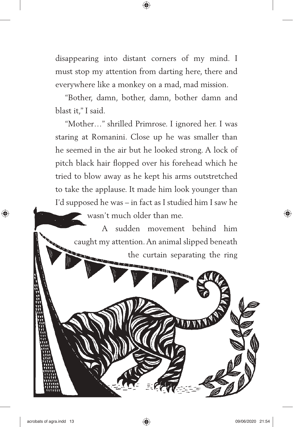disappearing into distant corners of my mind. I must stop my attention from darting here, there and everywhere like a monkey on a mad, mad mission.

⊕

"Bother, damn, bother, damn, bother damn and blast it," I said.

"Mother…" shrilled Primrose. I ignored her. I was staring at Romanini. Close up he was smaller than he seemed in the air but he looked strong. A lock of pitch black hair flopped over his forehead which he tried to blow away as he kept his arms outstretched to take the applause. It made him look younger than I'd supposed he was – in fact as I studied him I saw he

wasn't much older than me.

A sudden movement behind him caught my attention. An animal slipped beneath **Contractor** 

the curtain separating the ring



⊕

⊕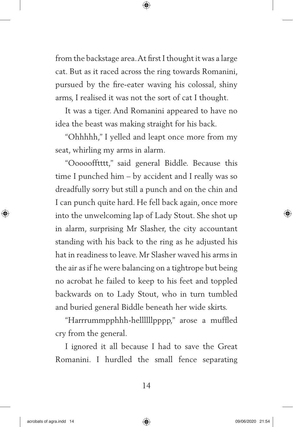from the backstage area. At first I thought it was a large cat. But as it raced across the ring towards Romanini, pursued by the fire-eater waving his colossal, shiny arms, I realised it was not the sort of cat I thought.

⊕

It was a tiger. And Romanini appeared to have no idea the beast was making straight for his back.

"Ohhhhh," I yelled and leapt once more from my seat, whirling my arms in alarm.

"Ooooofftttt," said general Biddle. Because this time I punched him – by accident and I really was so dreadfully sorry but still a punch and on the chin and I can punch quite hard. He fell back again, once more into the unwelcoming lap of Lady Stout. She shot up in alarm, surprising Mr Slasher, the city accountant standing with his back to the ring as he adjusted his hat in readiness to leave. Mr Slasher waved his arms in the air as if he were balancing on a tightrope but being no acrobat he failed to keep to his feet and toppled backwards on to Lady Stout, who in turn tumbled and buried general Biddle beneath her wide skirts.

"Harrrummpphhh-hellllllpppp," arose a muffled cry from the general.

I ignored it all because I had to save the Great Romanini. I hurdled the small fence separating